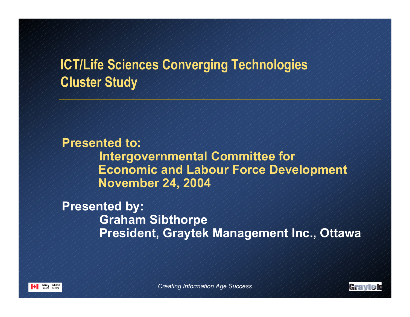# **ICT/Life Sciences Converging Technologies Cluster Study**

**Presented to:Intergovernmental Committee for Economic and Labour Force Development November 24, 2004**

**Presented by: Graham Sibthorpe President, Graytek Management Inc., Ottawa**



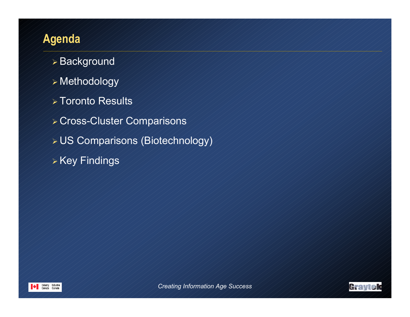# **Agenda**

- Background
- Methodology
- Toronto Results
- Cross-Cluster Comparisons
- US Comparisons (Biotechnology)
- Key Findings



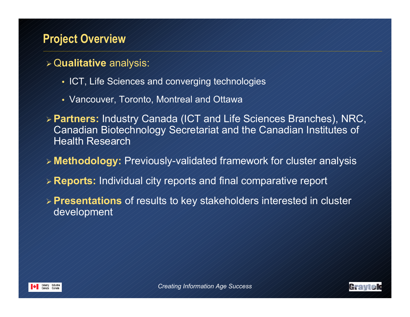## **Project Overview**

- Q**ualitative** analysis:
	- ICT, Life Sciences and converging technologies
	- Vancouver, Toronto, Montreal and Ottawa
- **Partners:** Industry Canada (ICT and Life Sciences Branches), NRC, Canadian Biotechnology Secretariat and the Canadian Institutes of Health Research
- **Methodology:** Previously-validated framework for cluster analysis
- **Reports:** Individual city reports and final comparative report
- **Presentations** of results to key stakeholders interested in cluster development



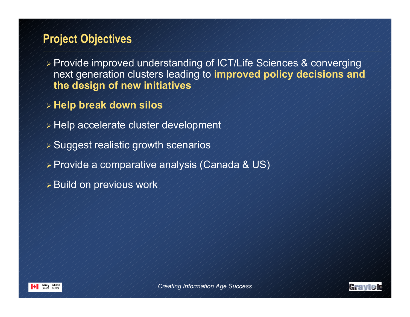## **Project Objectives**

- Provide improved understanding of ICT/Life Sciences & converging next generation clusters leading to **improved policy decisions and the design of new initiatives**
- **Help break down silos**
- Help accelerate cluster development
- Suggest realistic growth scenarios
- Provide a comparative analysis (Canada & US)
- Build on previous work



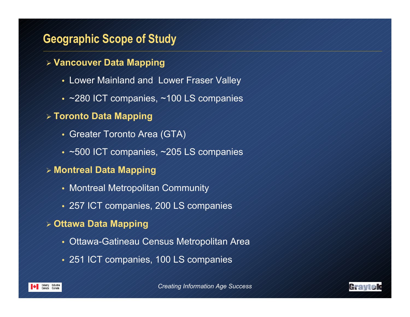## **Geographic Scope of Study**

- **Vancouver Data Mapping**
	- Lower Mainland and Lower Fraser Valley
	- ~280 ICT companies, ~100 LS companies
- **Toronto Data Mapping**
	- Greater Toronto Area (GTA)
	- ~500 ICT companies, ~205 LS companies
- **Montreal Data Mapping**
	- Montreal Metropolitan Community
	- 257 ICT companies, 200 LS companies
- **Ottawa Data Mapping**
	- Ottawa-Gatineau Census Metropolitan Area
	- 251 ICT companies, 100 LS companies

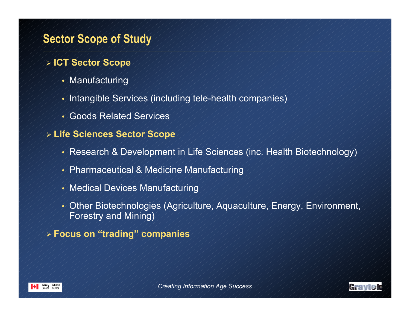## **Sector Scope of Study**

#### - **ICT Sector Scope**

- Manufacturing
- Intangible Services (including tele-health companies)
- Goods Related Services
- **Life Sciences Sector Scope**
	- Research & Development in Life Sciences (inc. Health Biotechnology)
	- Pharmaceutical & Medicine Manufacturing
	- Medical Devices Manufacturing
	- Other Biotechnologies (Agriculture, Aquaculture, Energy, Environment, Forestry and Mining)
- **Focus on "trading" companies**



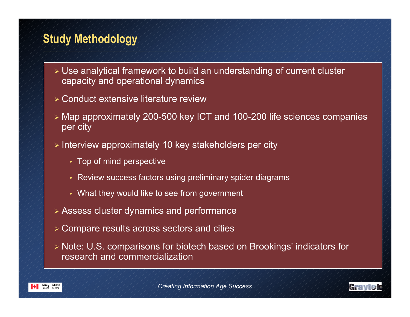## **Study Methodology**

- Use analytical framework to build an understanding of current cluster capacity and operational dynamics
- Conduct extensive literature review
- Map approximately 200-500 key ICT and 100-200 life sciences companies per city
- Interview approximately 10 key stakeholders per city
	- Top of mind perspective
	- Review success factors using preliminary spider diagrams
	- What they would like to see from government
- Assess cluster dynamics and performance
- Compare results across sectors and cities
- Note: U.S. comparisons for biotech based on Brookings' indicators for research and commercialization



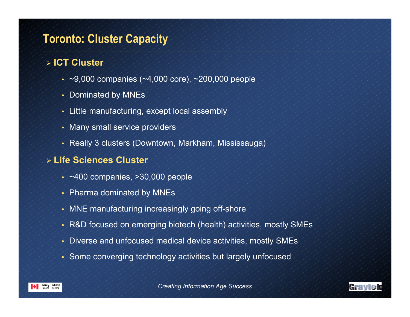## **Toronto: Cluster Capacity**

#### - **ICT Cluster**

- $\sim$  ~9,000 companies (~4,000 core), ~200,000 people
- Dominated by MNEs
- Little manufacturing, except local assembly
- Many small service providers
- Really 3 clusters (Downtown, Markham, Mississauga)

### - **Life Sciences Cluster**

- $\sim$  ~400 companies, >30,000 people
- Pharma dominated by MNEs
- MNE manufacturing increasingly going off-shore
- R&D focused on emerging biotech (health) activities, mostly SMEs
- Diverse and unfocused medical device activities, mostly SMEs
- Some converging technology activities but largely unfocused



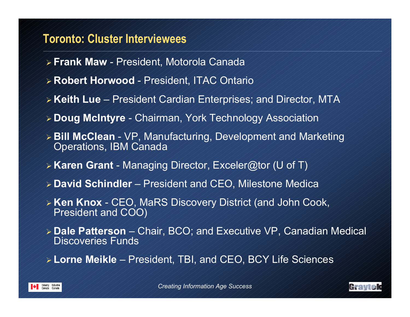## **Toronto: Cluster Interviewees**

- **Frank Maw**  President, Motorola Canada
- **Robert Horwood**  President, ITAC Ontario
- **Keith Lue**  President Cardian Enterprises; and Director, MTA
- **Doug McIntyre**  Chairman, York Technology Association
- **Bill McClean**  VP, Manufacturing, Development and Marketing Operations, IBM Canada
- **Karen Grant**  Managing Director, Exceler@tor (U of T)
- **David Schindler**  President and CEO, Milestone Medica
- **Ken Knox**  CEO, MaRS Discovery District (and John Cook, President and COO)
- **Dale Patterson**  Chair, BCO; and Executive VP, Canadian Medical Discoveries Funds
- **Lorne Meikle**  President, TBI, and CEO, BCY Life Sciences



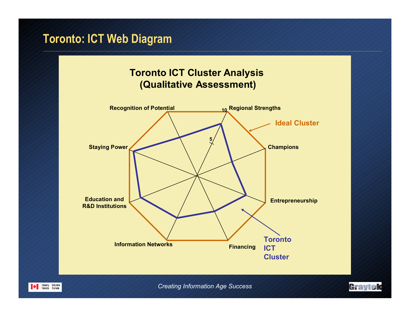# **Toronto: ICT Web Diagram**

### **Toronto ICT Cluster Analysis (Qualitative Assessment)**



*Creating Information Age Success*

Graytek

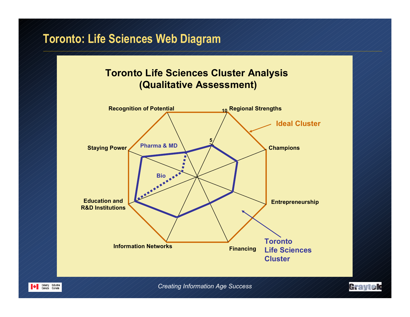## **Toronto: Life Sciences Web Diagram**

#### **Toronto Life Sciences Cluster Analysis (Qualitative Assessment)**



*Creating Information Age Success*

Graytek

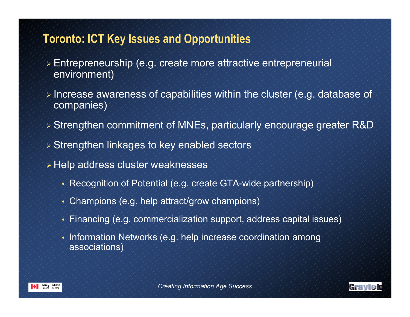## **Toronto: ICT Key Issues and Opportunities**

- Entrepreneurship (e.g. create more attractive entrepreneurial environment)
- $\triangleright$  Increase awareness of capabilities within the cluster (e.g. database of companies)
- Strengthen commitment of MNEs, particularly encourage greater R&D
- Strengthen linkages to key enabled sectors
- Help address cluster weaknesses
	- Recognition of Potential (e.g. create GTA-wide partnership)
	- Champions (e.g. help attract/grow champions)
	- Financing (e.g. commercialization support, address capital issues)
	- Information Networks (e.g. help increase coordination among associations)



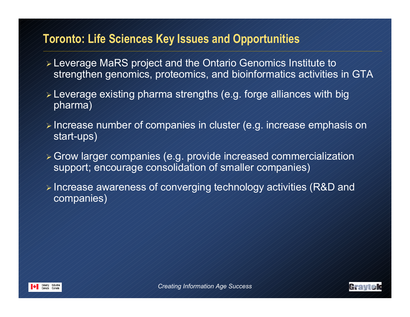## **Toronto: Life Sciences Key Issues and Opportunities**

- Leverage MaRS project and the Ontario Genomics Institute to strengthen genomics, proteomics, and bioinformatics activities in GTA
- Leverage existing pharma strengths (e.g. forge alliances with big pharma)
- Increase number of companies in cluster (e.g. increase emphasis on start-ups)
- Grow larger companies (e.g. provide increased commercialization support; encourage consolidation of smaller companies)
- Increase awareness of converging technology activities (R&D and companies)



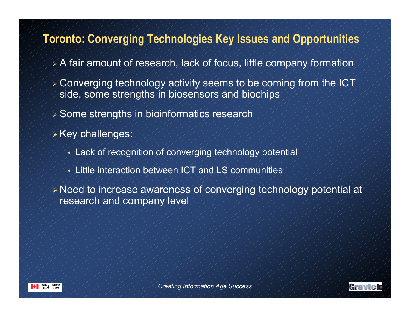## **Toronto: Converging Technologies Key Issues and Opportunities**

- A fair amount of research, lack of focus, little company formation
- Converging technology activity seems to be coming from the ICT side, some strengths in biosensors and biochips
- Some strengths in bioinformatics research
- Key challenges:
	- Lack of recognition of converging technology potential
	- Little interaction between ICT and LS communities

 Need to increase awareness of converging technology potential at research and company level



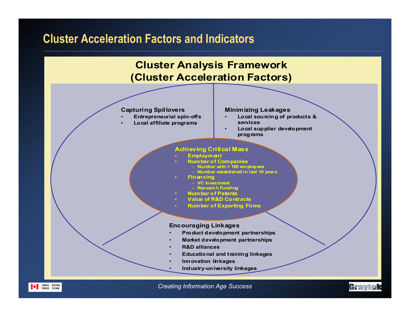## **Cluster Acceleration Factors and Indicators**

#### **Cluster Analysis Framework (Cluster Acceleration Factors)**

#### **Capturing Spillovers**

•

**Entrepreneurial spin-offs**

•

•

•

•

•

•**Local affiliate programs**

#### **Minimizing Leakages**

- **Local sourcing of products & services**
- **Local supplier development programs**

#### **Achieving Critical Mass**

- **Employment**
- **Number of Companies**
	- **Number with > 100 employees**
		- **Number established in last 10 years**
- **Financing**
	- **VC Investment Research Funding**
	-
- **Number of Patents**
- • **Value of R&D Contracts**
	- **Number of Exporting Firms**

#### **Encouraging Linkages**

- **Product development partnerships**
- **Market development partnerships**
- **R&D alliances**
- **Educational and training linkages**
- •**Innovation linkages**
- **Industry-university linkages**





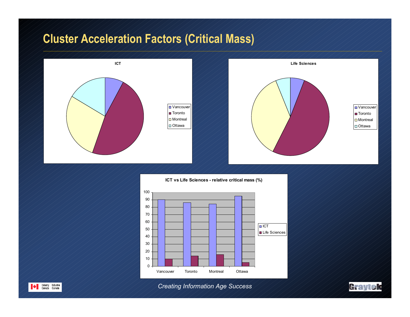# **Cluster Acceleration Factors (Critical Mass)**



**ICT vs Life Sciences - relative critical mass (%)**





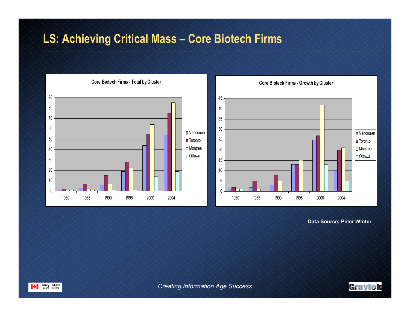## **LS: Achieving Critical Mass – Core Biotech Firms**



**Data Source; Peter Winter**



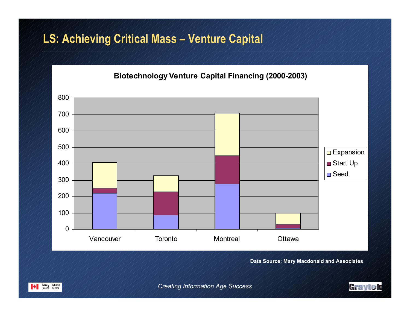## **LS: Achieving Critical Mass – Venture Capital**



**Data Source; Mary Macdonald and Associates**



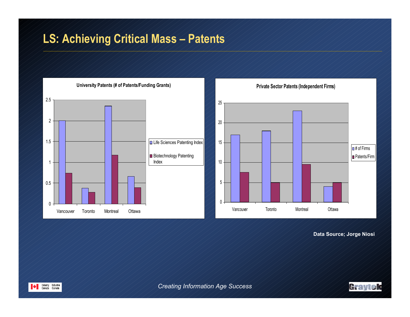# **LS: Achieving Critical Mass – Patents**



**Data Source; Jorge Niosi**



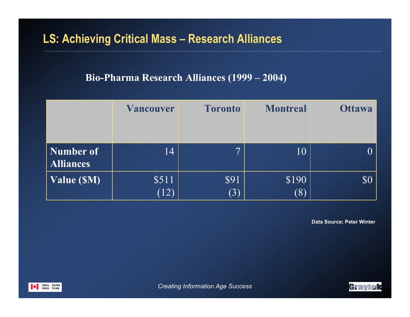# **LS: Achieving Critical Mass – Research Alliances**

#### **Bio-Pharma Research Alliances (1999 – 2004)**

|                               | <b>Vancouver</b> | <b>Toronto</b> | <b>Montreal</b> | <b>Ottawa</b> |
|-------------------------------|------------------|----------------|-----------------|---------------|
|                               |                  |                |                 |               |
| Number of<br><b>Alliances</b> | 14               | ⇁              | $10\,$          | $\,0$         |
| Value (SM)                    | \$511            | \$91           | \$190           | \$0           |
|                               | (12)             | (3)            | (8)             |               |

**Data Source; Peter Winter**



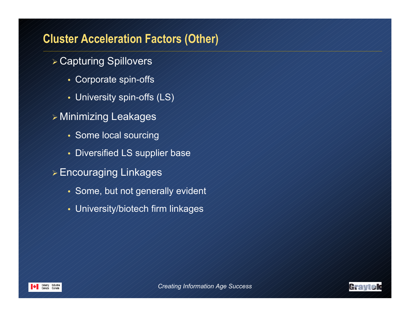## **Cluster Acceleration Factors (Other)**

- Capturing Spillovers
	- Corporate spin-offs
	- University spin-offs (LS)
- Minimizing Leakages
	- Some local sourcing
	- Diversified LS supplier base
- Encouraging Linkages
	- Some, but not generally evident
	- University/biotech firm linkages



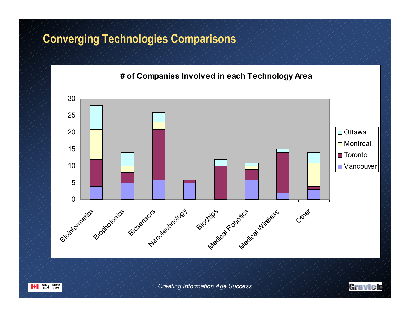## **Converging Technologies Comparisons**

**# of Companies Involved in each Technology Area**





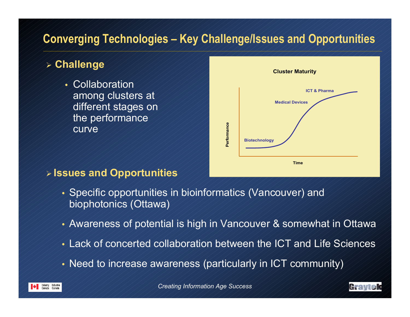# **Converging Technologies – Key Challenge/Issues and Opportunities**

## **Challenge**

- Collaboration among clusters at different stages on the performance curve



#### **Issues and Opportunities**

- Specific opportunities in bioinformatics (Vancouver) and biophotonics (Ottawa)
- Awareness of potential is high in Vancouver & somewhat in Ottawa
- Lack of concerted collaboration between the ICT and Life Sciences
- Need to increase awareness (particularly in ICT community)



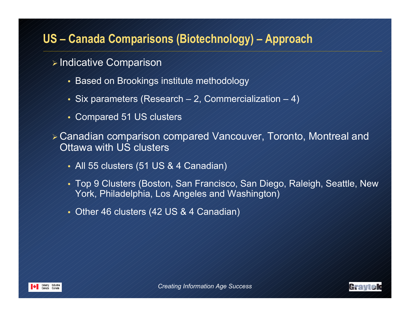## **US – Canada Comparisons (Biotechnology) – Approach**

- Indicative Comparison
	- Based on Brookings institute methodology
	- Six parameters (Research 2, Commercialization 4)
	- Compared 51 US clusters
- Canadian comparison compared Vancouver, Toronto, Montreal and Ottawa with US clusters
	- All 55 clusters (51 US & 4 Canadian)
	- Top 9 Clusters (Boston, San Francisco, San Diego, Raleigh, Seattle, New York, Philadelphia, Los Angeles and Washington)
	- Other 46 clusters (42 US & 4 Canadian)



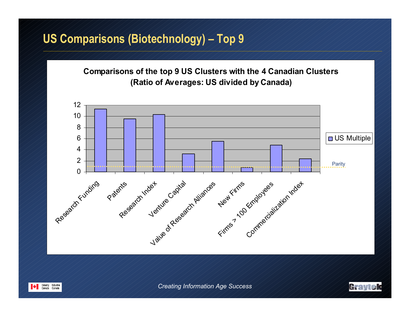## **US Comparisons (Biotechnology) – Top 9**

**Comparisons of the top 9 US Clusters with the 4 Canadian Clusters (Ratio of Averages: US divided by Canada)**





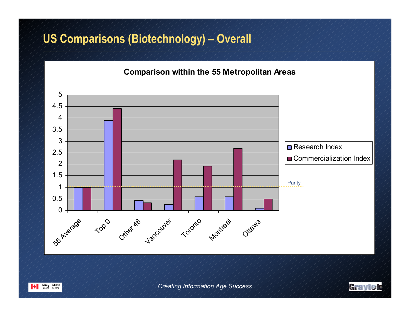## **US Comparisons (Biotechnology) – Overall**

#### **Comparison within the 55 Metropolitan Areas**





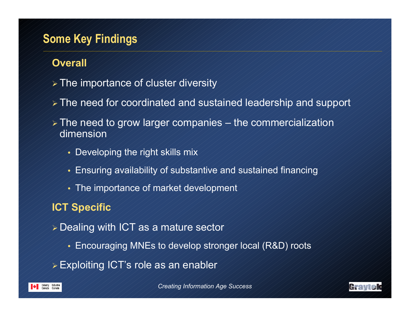## **Some Key Findings**

### **Overall**

- The importance of cluster diversity
- The need for coordinated and sustained leadership and support
- $\triangleright$  The need to grow larger companies the commercialization dimension
	- Developing the right skills mix
	- Ensuring availability of substantive and sustained financing
	- The importance of market development

## **ICT Specific**

- Dealing with ICT as a mature sector
	- Encouraging MNEs to develop stronger local (R&D) roots
- Exploiting ICT's role as an enabler





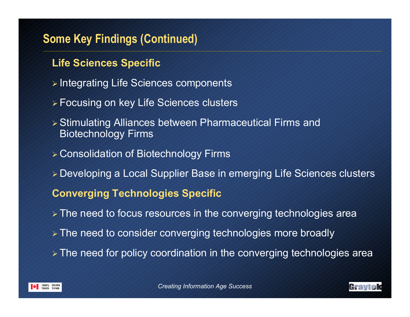## **Some Key Findings (Continued)**

## **Life Sciences Specific**

- Integrating Life Sciences components
- Focusing on key Life Sciences clusters
- Stimulating Alliances between Pharmaceutical Firms and Biotechnology Firms
- Consolidation of Biotechnology Firms
- Developing a Local Supplier Base in emerging Life Sciences clusters

## **Converging Technologies Specific**

- The need to focus resources in the converging technologies area
- > The need to consider converging technologies more broadly
- The need for policy coordination in the converging technologies area



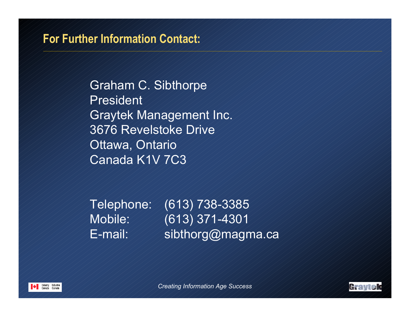## **For Further Information Contact:**

Graham C. Sibthorpe PresidentGraytek Management Inc. 3676 Revelstoke DriveOttawa, Ontario Canada K1V 7C3

Telephone: (613) 738-3385 Mobile: (613) 371-4301 E-mail: ////sibthorg@magma.ca



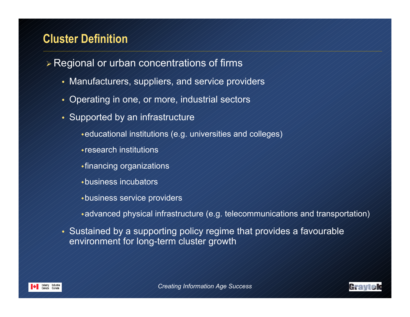## **Cluster Definition**

- Regional or urban concentrations of firms
	- Manufacturers, suppliers, and service providers
	- Operating in one, or more, industrial sectors
	- Supported by an infrastructure
		- educational institutions (e.g. universities and colleges)
		- research institutions
		- financing organizations
		- business incubators
		- business service providers
		- advanced physical infrastructure (e.g. telecommunications and transportation)
	- Sustained by a supporting policy regime that provides a favourable environment for long-term cluster growth



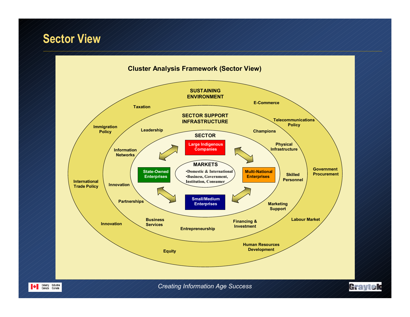## **Sector View**



Holustry Industrie<br>Canada Canada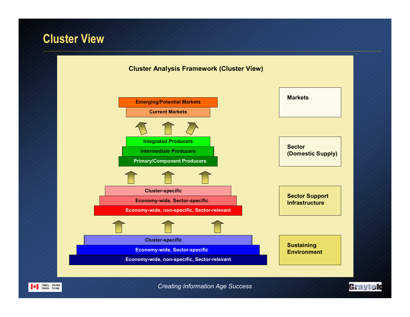## **Cluster View**



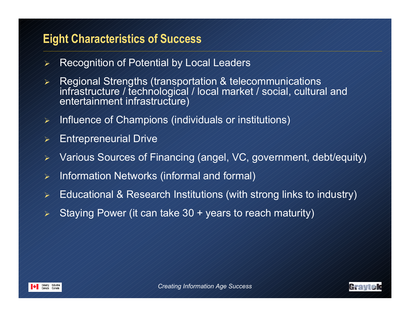## **Eight Characteristics of Success**

- $\blacktriangleright$ Recognition of Potential by Local Leaders
- $\blacktriangleright$  Regional Strengths (transportation & telecommunications infrastructure / technological / local market / social, cultural and entertainment infrastructure)
- $\blacktriangleright$ Influence of Champions (individuals or institutions)
- $\blacktriangleright$ Entrepreneurial Drive
- $\blacktriangleright$ Various Sources of Financing (angel, VC, government, debt/equity)
- $\blacktriangleright$ Information Networks (informal and formal)
- ➤ Educational & Research Institutions (with strong links to industry)
- $\blacktriangleright$ Staying Power (it can take 30 + years to reach maturity)



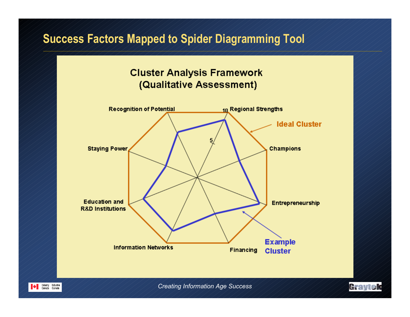## **Success Factors Mapped to Spider Diagramming Tool**

#### **Cluster Analysis Framework** (Qualitative Assessment)



*Creating Information Age Success*

Graytek

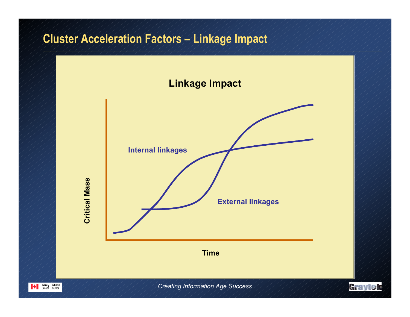# **Cluster Acceleration Factors – Linkage Impact**

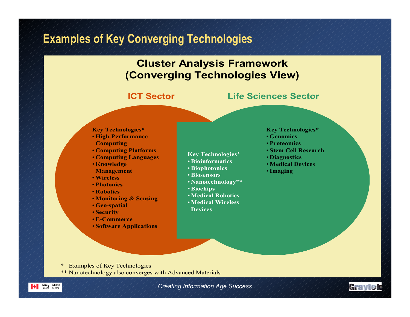## **Examples of Key Converging Technologies**



#### **ICT Sector**

#### **Life Sciences Sector**

#### **Key Technologies\*** • **High-Performance Computing**

- **Computing Platforms**
- **Computing Languages**
- **Knowledge Management**
- •**Wireless**
- **Photonics**
- **Robotics**
- **Monitoring & Sensing**
- **Geo-spatial**
- **Security**
- •**E-Commerce**
- **Software Applications**
- 
- **Key Technologies\***
- •**Bioinformatics**
- •**Biophotonics**
- •**Biosensors**
- **Nanotechnology\*\***
- •**Biochips**
- •**Medical Robotics**
- •**Medical WirelessDevices**

#### **Key Technologies\***

- **Genomics**
- **Proteomics**
- **Stem Cell Research**
- **Diagnostics**
- **Medical Devices**
- •**Imaging**

- \* Examples of Key Technologies
- \*\* Nanotechnology also converges with Advanced Materials





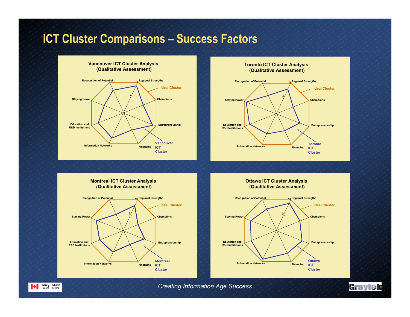## **ICT Cluster Comparisons – Success Factors**





**Toronto ICT Cluster Analysis** 

**Champions Entrepreneurship Information Networks Financing Education and R&D InstitutionsStaying Power Recognition of Potential Regional Strengths <sup>10</sup>5Ideal ClusterMontrealICT ClusterMontreal ICT Cluster Analysis (Qualitative Assessment)**

Industry Industrie<br>Canada Canada

**Ottawa ICT Cluster Analysis (Qualitative Assessment)**